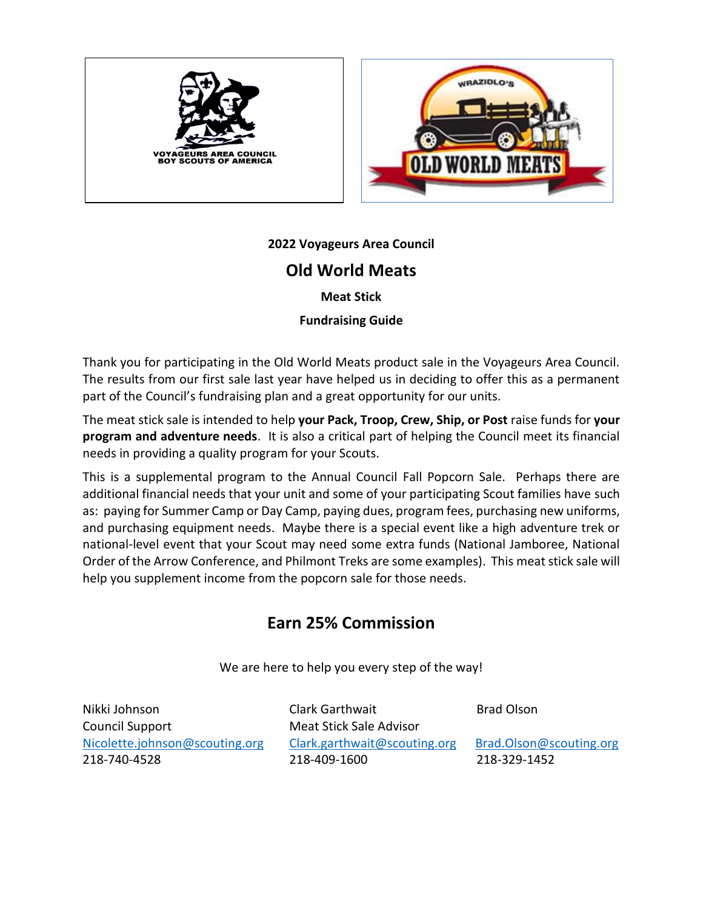



**2022 Voyageurs Area Council**

## **Old World Meats**

**Meat Stick**

**Fundraising Guide**

Thank you for participating in the Old World Meats product sale in the Voyageurs Area Council. The results from our first sale last year have helped us in deciding to offer this as a permanent part of the Council's fundraising plan and a great opportunity for our units.

The meat stick sale is intended to help **your Pack, Troop, Crew, Ship, or Post** raise funds for **your program and adventure needs**. It is also a critical part of helping the Council meet its financial needs in providing a quality program for your Scouts.

This is a supplemental program to the Annual Council Fall Popcorn Sale. Perhaps there are additional financial needs that your unit and some of your participating Scout families have such as: paying for Summer Camp or Day Camp, paying dues, program fees, purchasing new uniforms, and purchasing equipment needs. Maybe there is a special event like a high adventure trek or national-level event that your Scout may need some extra funds (National Jamboree, National Order of the Arrow Conference, and Philmont Treks are some examples). This meat stick sale will help you supplement income from the popcorn sale for those needs.

# **Earn 25% Commission**

We are here to help you every step of the way!

Nikki Johnson Clark Garthwait Brad Olson Council Support Meat Stick Sale Advisor [Nicolette.johnson@scouting.org](mailto:Nicolette.johnson@scouting.org) [Clark.garthwait@scouting.org](mailto:Clark.garthwait@scouting.org) Brad.Olson@scouting.org 218-740-4528 218-409-1600 218-329-1452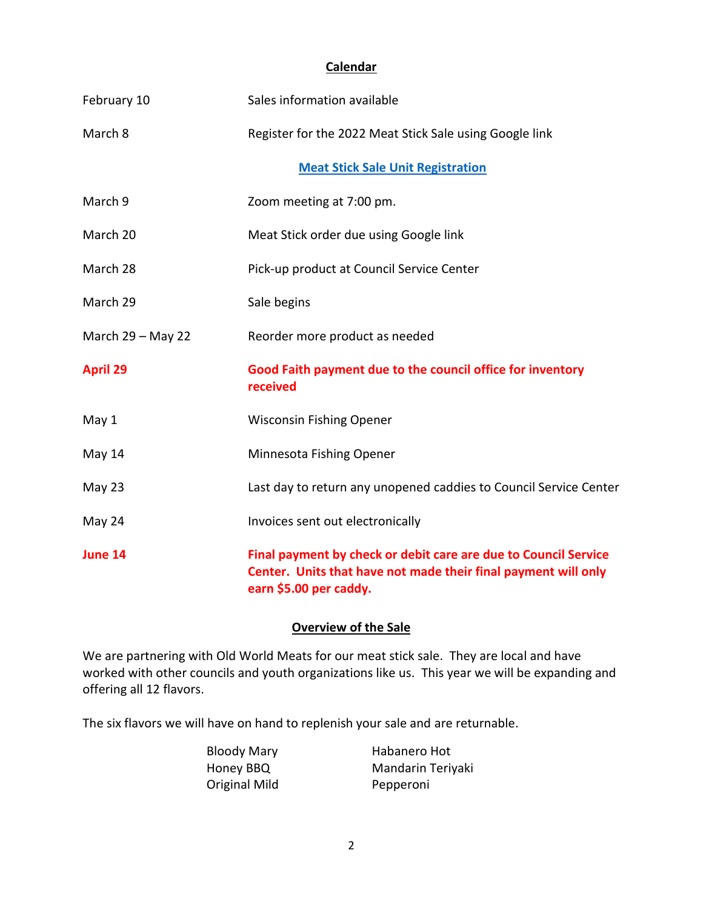### **Calendar**

| February 10         | Sales information available                                                                                                                                 |
|---------------------|-------------------------------------------------------------------------------------------------------------------------------------------------------------|
| March 8             | Register for the 2022 Meat Stick Sale using Google link                                                                                                     |
|                     | <b>Meat Stick Sale Unit Registration</b>                                                                                                                    |
| March 9             | Zoom meeting at 7:00 pm.                                                                                                                                    |
| March 20            | Meat Stick order due using Google link                                                                                                                      |
| March 28            | Pick-up product at Council Service Center                                                                                                                   |
| March 29            | Sale begins                                                                                                                                                 |
| March $29 -$ May 22 | Reorder more product as needed                                                                                                                              |
| <b>April 29</b>     | Good Faith payment due to the council office for inventory<br>received                                                                                      |
| May 1               | <b>Wisconsin Fishing Opener</b>                                                                                                                             |
| May 14              | Minnesota Fishing Opener                                                                                                                                    |
| May 23              | Last day to return any unopened caddies to Council Service Center                                                                                           |
| May 24              | Invoices sent out electronically                                                                                                                            |
| June 14             | Final payment by check or debit care are due to Council Service<br>Center. Units that have not made their final payment will only<br>earn \$5.00 per caddy. |

## **Overview of the Sale**

We are partnering with Old World Meats for our meat stick sale. They are local and have worked with other councils and youth organizations like us. This year we will be expanding and offering all 12 flavors.

The six flavors we will have on hand to replenish your sale and are returnable.

| <b>Bloody Mary</b> | Habanero Hot      |
|--------------------|-------------------|
| Honey BBQ          | Mandarin Teriyaki |
| Original Mild      | Pepperoni         |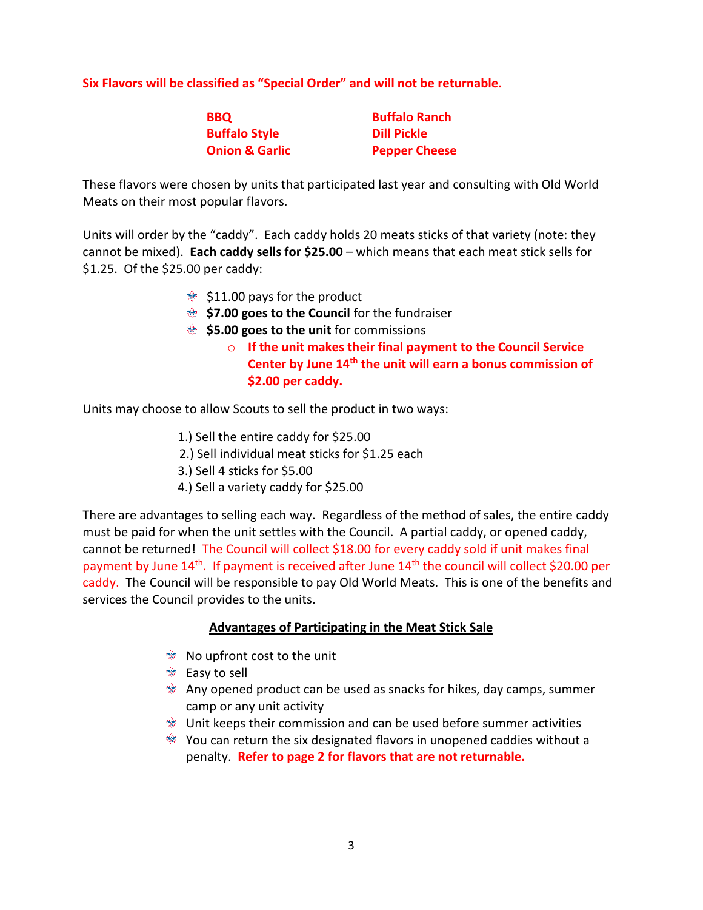**Six Flavors will be classified as "Special Order" and will not be returnable.**

| <b>BBQ</b>                | <b>Buffalo Ranch</b> |
|---------------------------|----------------------|
| <b>Buffalo Style</b>      | <b>Dill Pickle</b>   |
| <b>Onion &amp; Garlic</b> | <b>Pepper Cheese</b> |

These flavors were chosen by units that participated last year and consulting with Old World Meats on their most popular flavors.

Units will order by the "caddy". Each caddy holds 20 meats sticks of that variety (note: they cannot be mixed). **Each caddy sells for \$25.00** – which means that each meat stick sells for \$1.25. Of the \$25.00 per caddy:

- $\text{\textcircled{*}}$  \$11.00 pays for the product
- **\$7.00 goes to the Council** for the fundraiser
- **\$5.00 goes to the unit** for commissions
	- o **If the unit makes their final payment to the Council Service Center by June 14th the unit will earn a bonus commission of \$2.00 per caddy.**

Units may choose to allow Scouts to sell the product in two ways:

- 1.) Sell the entire caddy for \$25.00
- 2.) Sell individual meat sticks for \$1.25 each
- 3.) Sell 4 sticks for \$5.00
- 4.) Sell a variety caddy for \$25.00

There are advantages to selling each way. Regardless of the method of sales, the entire caddy must be paid for when the unit settles with the Council. A partial caddy, or opened caddy, cannot be returned! The Council will collect \$18.00 for every caddy sold if unit makes final payment by June  $14<sup>th</sup>$ . If payment is received after June  $14<sup>th</sup>$  the council will collect \$20.00 per caddy. The Council will be responsible to pay Old World Meats. This is one of the benefits and services the Council provides to the units.

#### **Advantages of Participating in the Meat Stick Sale**

- No upfront cost to the unit
- **<sup>s</sup>** Easy to sell
- $\bullet$  Any opened product can be used as snacks for hikes, day camps, summer camp or any unit activity
- $*$  Unit keeps their commission and can be used before summer activities
- $\bullet$  You can return the six designated flavors in unopened caddies without a penalty. **Refer to page 2 for flavors that are not returnable.**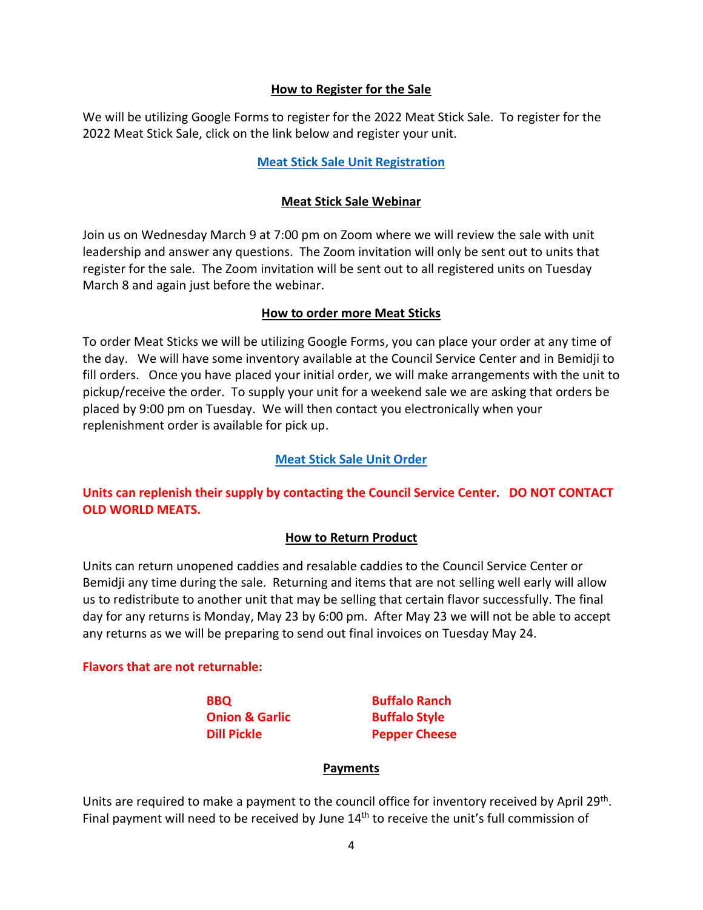#### **How to Register for the Sale**

We will be utilizing Google Forms to register for the 2022 Meat Stick Sale. To register for the 2022 Meat Stick Sale, click on the link below and register your unit.

#### **[Meat Stick Sale Unit Registration](https://forms.gle/5pNP5jETiNLRKLan7)**

#### **Meat Stick Sale Webinar**

Join us on Wednesday March 9 at 7:00 pm on Zoom where we will review the sale with unit leadership and answer any questions. The Zoom invitation will only be sent out to units that register for the sale. The Zoom invitation will be sent out to all registered units on Tuesday March 8 and again just before the webinar.

#### **How to order more Meat Sticks**

To order Meat Sticks we will be utilizing Google Forms, you can place your order at any time of the day. We will have some inventory available at the Council Service Center and in Bemidji to fill orders. Once you have placed your initial order, we will make arrangements with the unit to pickup/receive the order. To supply your unit for a weekend sale we are asking that orders be placed by 9:00 pm on Tuesday. We will then contact you electronically when your replenishment order is available for pick up.

#### **[Meat Stick Sale Unit Order](https://forms.gle/YimWrqaoZ1kPSCLFA)**

**Units can replenish their supply by contacting the Council Service Center. DO NOT CONTACT OLD WORLD MEATS.**

#### **How to Return Product**

Units can return unopened caddies and resalable caddies to the Council Service Center or Bemidji any time during the sale. Returning and items that are not selling well early will allow us to redistribute to another unit that may be selling that certain flavor successfully. The final day for any returns is Monday, May 23 by 6:00 pm. After May 23 we will not be able to accept any returns as we will be preparing to send out final invoices on Tuesday May 24.

#### **Flavors that are not returnable:**

**Onion & Garlic Buffalo Style** 

**BBQ Buffalo Ranch Dill Pickle Pepper Cheese** 

#### **Payments**

Units are required to make a payment to the council office for inventory received by April 29<sup>th</sup>. Final payment will need to be received by June  $14<sup>th</sup>$  to receive the unit's full commission of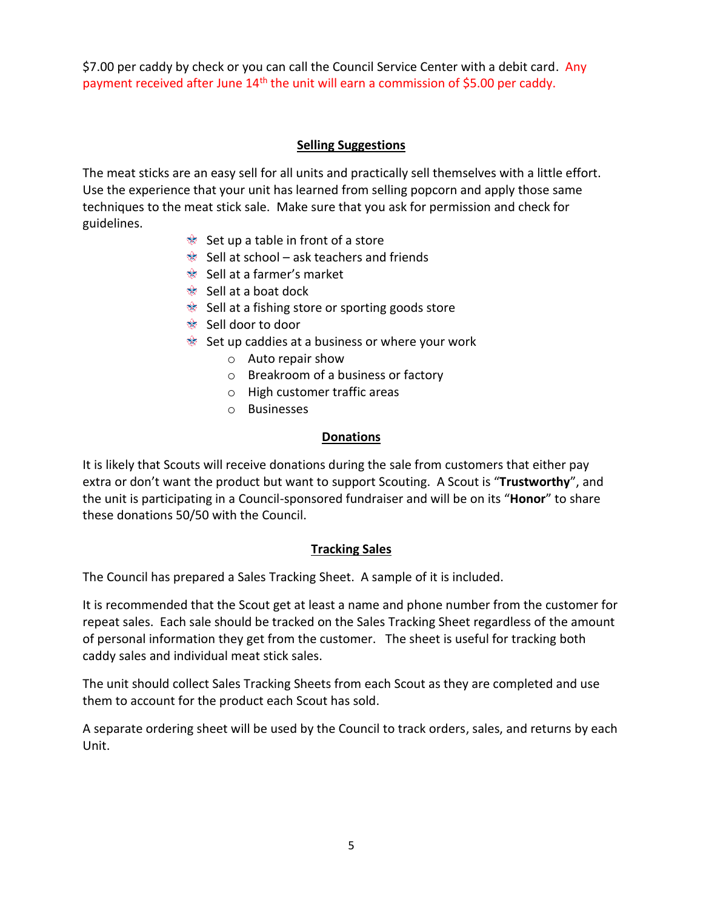\$7.00 per caddy by check or you can call the Council Service Center with a debit card. Any payment received after June 14<sup>th</sup> the unit will earn a commission of \$5.00 per caddy.

## **Selling Suggestions**

The meat sticks are an easy sell for all units and practically sell themselves with a little effort. Use the experience that your unit has learned from selling popcorn and apply those same techniques to the meat stick sale. Make sure that you ask for permission and check for guidelines.

- $\hat{\mathcal{C}}$  Set up a table in front of a store
- $\bullet$  Sell at school ask teachers and friends
- Sell at a farmer's market
- $\mathscr{B}$  Sell at a boat dock
- $\mathscr{C}$  Sell at a fishing store or sporting goods store
- <sup>**<sup>া</sup>**</sup> Sell door to door
- $\mathcal{L}$  Set up caddies at a business or where your work
	- o Auto repair show
	- o Breakroom of a business or factory
	- o High customer traffic areas
	- o Businesses

## **Donations**

It is likely that Scouts will receive donations during the sale from customers that either pay extra or don't want the product but want to support Scouting. A Scout is "**Trustworthy**", and the unit is participating in a Council-sponsored fundraiser and will be on its "**Honor**" to share these donations 50/50 with the Council.

## **Tracking Sales**

The Council has prepared a Sales Tracking Sheet. A sample of it is included.

It is recommended that the Scout get at least a name and phone number from the customer for repeat sales. Each sale should be tracked on the Sales Tracking Sheet regardless of the amount of personal information they get from the customer. The sheet is useful for tracking both caddy sales and individual meat stick sales.

The unit should collect Sales Tracking Sheets from each Scout as they are completed and use them to account for the product each Scout has sold.

A separate ordering sheet will be used by the Council to track orders, sales, and returns by each Unit.